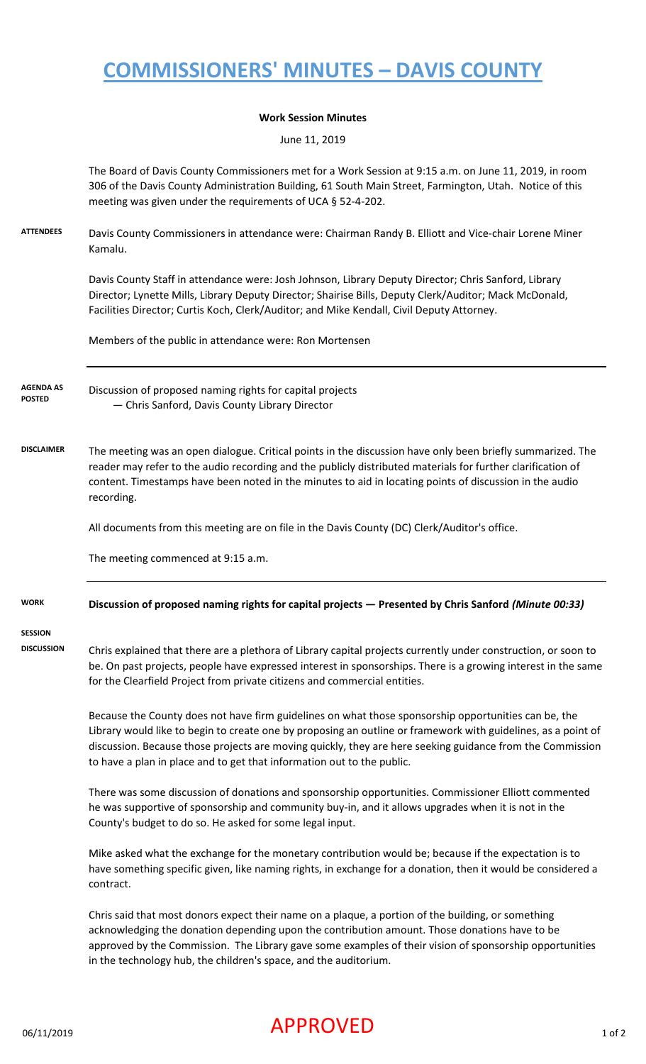# **COMMISSIONERS' MINUTES – DAVIS COUNTY**

#### **Work Session Minutes**

June 11, 2019

The Board of Davis County Commissioners met for a Work Session at 9:15 a.m. on June 11, 2019, in room 306 of the Davis County Administration Building, 61 South Main Street, Farmington, Utah. Notice of this meeting was given under the requirements of UCA § 52-4-202.

**ATTENDEES** Davis County Commissioners in attendance were: Chairman Randy B. Elliott and Vice-chair Lorene Miner Kamalu.

> Davis County Staff in attendance were: Josh Johnson, Library Deputy Director; Chris Sanford, Library Director; Lynette Mills, Library Deputy Director; Shairise Bills, Deputy Clerk/Auditor; Mack McDonald, Facilities Director; Curtis Koch, Clerk/Auditor; and Mike Kendall, Civil Deputy Attorney.

Members of the public in attendance were: Ron Mortensen

Discussion of proposed naming rights for capital projects — Chris Sanford, Davis County Library Director **AGENDA AS POSTED**

**DISCLAIMER** The meeting was an open dialogue. Critical points in the discussion have only been briefly summarized. The reader may refer to the audio recording and the publicly distributed materials for further clarification of content. Timestamps have been noted in the minutes to aid in locating points of discussion in the audio recording.

All documents from this meeting are on file in the Davis County (DC) Clerk/Auditor's office.

The meeting commenced at 9:15 a.m.

#### **WORK Discussion of proposed naming rights for capital projects — Presented by Chris Sanford** *(Minute 00:33)*

**SESSION** 

**DISCUSSION** Chris explained that there are a plethora of Library capital projects currently under construction, or soon to be. On past projects, people have expressed interest in sponsorships. There is a growing interest in the same for the Clearfield Project from private citizens and commercial entities.

> Because the County does not have firm guidelines on what those sponsorship opportunities can be, the Library would like to begin to create one by proposing an outline or framework with guidelines, as a point of discussion. Because those projects are moving quickly, they are here seeking guidance from the Commission to have a plan in place and to get that information out to the public.

There was some discussion of donations and sponsorship opportunities. Commissioner Elliott commented he was supportive of sponsorship and community buy-in, and it allows upgrades when it is not in the County's budget to do so. He asked for some legal input.

Mike asked what the exchange for the monetary contribution would be; because if the expectation is to have something specific given, like naming rights, in exchange for a donation, then it would be considered a contract.

Chris said that most donors expect their name on a plaque, a portion of the building, or something acknowledging the donation depending upon the contribution amount. Those donations have to be approved by the Commission. The Library gave some examples of their vision of sponsorship opportunities in the technology hub, the children's space, and the auditorium.

## $\mathsf{APPROVED}$  1 of 2